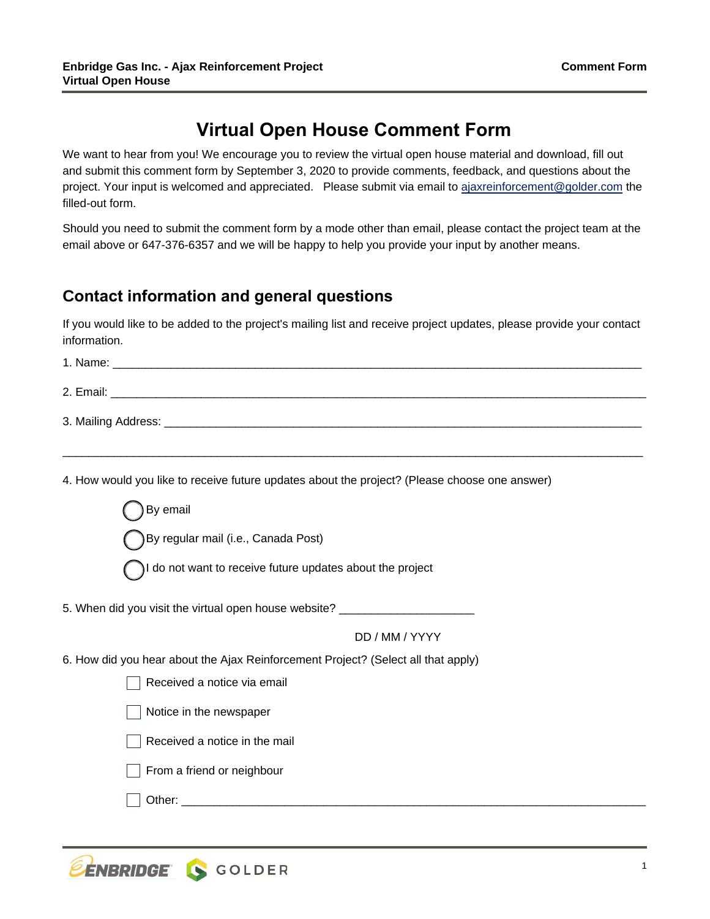# **Virtual Open House Comment Form**

project. Your input is welcomed and appreciated. Please submit via email t[o ajaxreinforcement@golder.com](mailto:AjaxReinforcement@golder.com) the We want to hear from you! We encourage you to review the virtual open house material and download, fill out and submit this comment form by September 3, 2020 to provide comments, feedback, and questions about the filled-out form.

Should you need to submit the comment form by a mode other than email, please contact the project team at the email above or 647-376-6357 and we will be happy to help you provide your input by another means.

### **Contact information and general questions**

If you would like to be added to the project's mailing list and receive project updates, please provide your contact information.

| 1. Name:               |
|------------------------|
| 2. Email:              |
| 3. Mailing Address: __ |

\_\_\_\_\_\_\_\_\_\_\_\_\_\_\_\_\_\_\_\_\_\_\_\_\_\_\_\_\_\_\_\_\_\_\_\_\_\_\_\_\_\_\_\_\_\_\_\_\_\_\_\_\_\_\_\_\_\_\_\_\_\_\_\_\_\_\_\_\_\_\_\_\_\_\_\_\_\_\_\_\_\_\_\_\_\_\_\_\_\_

4. How would you like to receive future updates about the project? (Please choose one answer)

| By regular mail (i.e., Canada Post)                                               |
|-----------------------------------------------------------------------------------|
| I do not want to receive future updates about the project                         |
| 5. When did you visit the virtual open house website? ________                    |
| DD / MM / YYYY                                                                    |
| 6. How did you hear about the Ajax Reinforcement Project? (Select all that apply) |
| Received a notice via email                                                       |
| Notice in the newspaper                                                           |
| Received a notice in the mail                                                     |
| From a friend or neighbour                                                        |
| Other:                                                                            |

By email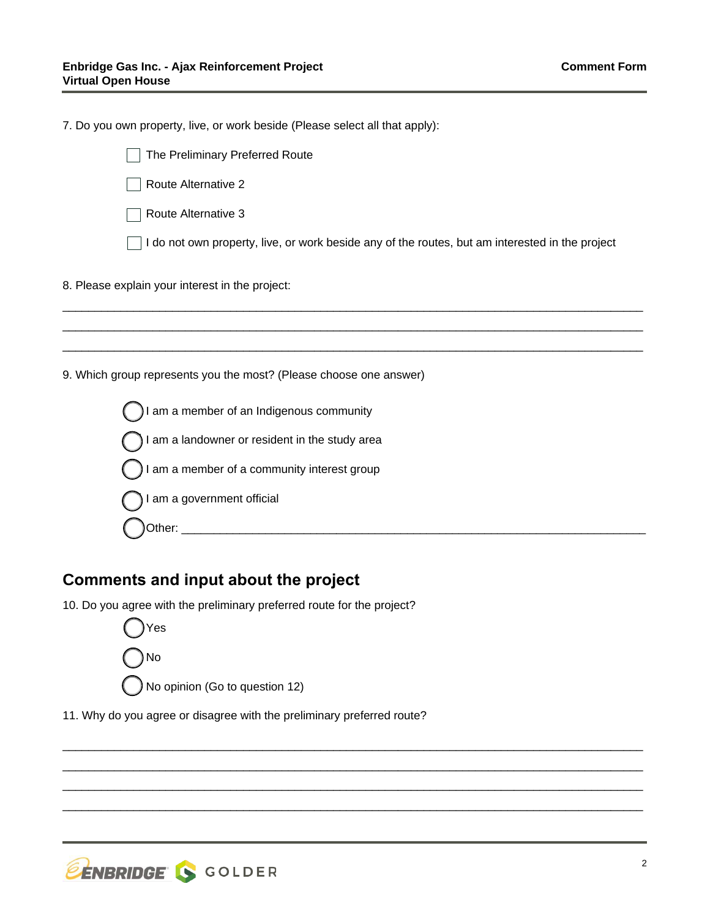| 7. Do you own property, live, or work beside (Please select all that apply):                    |  |  |
|-------------------------------------------------------------------------------------------------|--|--|
| The Preliminary Preferred Route                                                                 |  |  |
| Route Alternative 2                                                                             |  |  |
| Route Alternative 3                                                                             |  |  |
| I do not own property, live, or work beside any of the routes, but am interested in the project |  |  |
| 8. Please explain your interest in the project:                                                 |  |  |
|                                                                                                 |  |  |
|                                                                                                 |  |  |
| 9. Which group represents you the most? (Please choose one answer)                              |  |  |
| am a member of an Indigenous community                                                          |  |  |
| I am a landowner or resident in the study area                                                  |  |  |
| I am a member of a community interest group                                                     |  |  |
| I am a government official                                                                      |  |  |
| Other:                                                                                          |  |  |
|                                                                                                 |  |  |

\_\_\_\_\_\_\_\_\_\_\_\_\_\_\_\_\_\_\_\_\_\_\_\_\_\_\_\_\_\_\_\_\_\_\_\_\_\_\_\_\_\_\_\_\_\_\_\_\_\_\_\_\_\_\_\_\_\_\_\_\_\_\_\_\_\_\_\_\_\_\_\_\_\_\_\_\_\_\_\_\_\_\_\_\_\_\_\_\_\_ \_\_\_\_\_\_\_\_\_\_\_\_\_\_\_\_\_\_\_\_\_\_\_\_\_\_\_\_\_\_\_\_\_\_\_\_\_\_\_\_\_\_\_\_\_\_\_\_\_\_\_\_\_\_\_\_\_\_\_\_\_\_\_\_\_\_\_\_\_\_\_\_\_\_\_\_\_\_\_\_\_\_\_\_\_\_\_\_\_\_ \_\_\_\_\_\_\_\_\_\_\_\_\_\_\_\_\_\_\_\_\_\_\_\_\_\_\_\_\_\_\_\_\_\_\_\_\_\_\_\_\_\_\_\_\_\_\_\_\_\_\_\_\_\_\_\_\_\_\_\_\_\_\_\_\_\_\_\_\_\_\_\_\_\_\_\_\_\_\_\_\_\_\_\_\_\_\_\_\_\_ \_\_\_\_\_\_\_\_\_\_\_\_\_\_\_\_\_\_\_\_\_\_\_\_\_\_\_\_\_\_\_\_\_\_\_\_\_\_\_\_\_\_\_\_\_\_\_\_\_\_\_\_\_\_\_\_\_\_\_\_\_\_\_\_\_\_\_\_\_\_\_\_\_\_\_\_\_\_\_\_\_\_\_\_\_\_\_\_\_\_

## **Comments and input about the project**

10. Do you agree with the preliminary preferred route for the project?



11. Why do you agree or disagree with the preliminary preferred route?

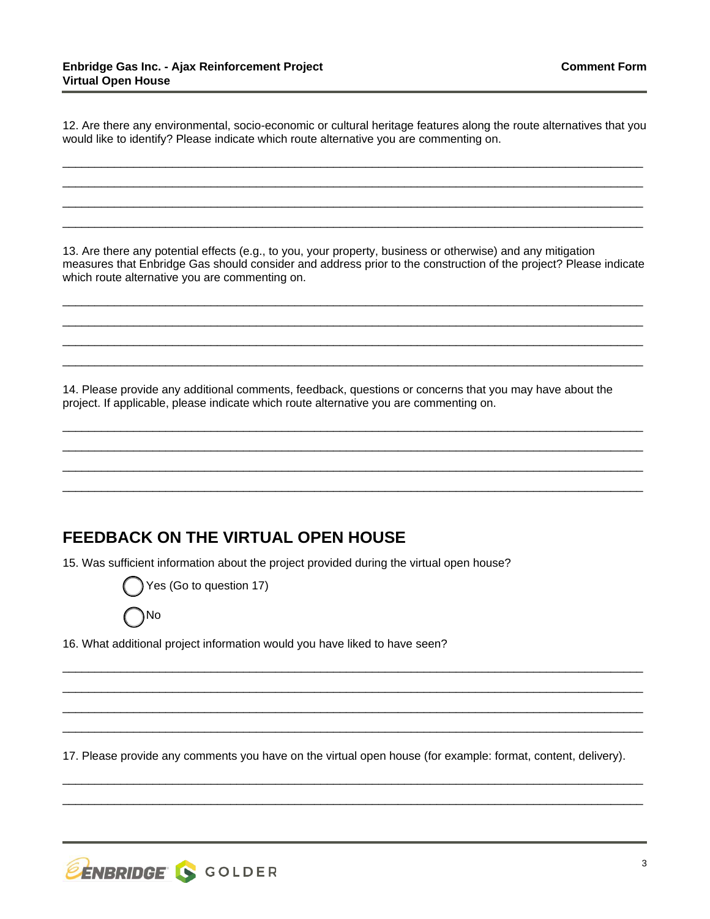12. Are there any environmental, socio-economic or cultural heritage features along the route alternatives that you would like to identify? Please indicate which route alternative you are commenting on.

\_\_\_\_\_\_\_\_\_\_\_\_\_\_\_\_\_\_\_\_\_\_\_\_\_\_\_\_\_\_\_\_\_\_\_\_\_\_\_\_\_\_\_\_\_\_\_\_\_\_\_\_\_\_\_\_\_\_\_\_\_\_\_\_\_\_\_\_\_\_\_\_\_\_\_\_\_\_\_\_\_\_\_\_\_\_\_\_\_\_ \_\_\_\_\_\_\_\_\_\_\_\_\_\_\_\_\_\_\_\_\_\_\_\_\_\_\_\_\_\_\_\_\_\_\_\_\_\_\_\_\_\_\_\_\_\_\_\_\_\_\_\_\_\_\_\_\_\_\_\_\_\_\_\_\_\_\_\_\_\_\_\_\_\_\_\_\_\_\_\_\_\_\_\_\_\_\_\_\_\_ \_\_\_\_\_\_\_\_\_\_\_\_\_\_\_\_\_\_\_\_\_\_\_\_\_\_\_\_\_\_\_\_\_\_\_\_\_\_\_\_\_\_\_\_\_\_\_\_\_\_\_\_\_\_\_\_\_\_\_\_\_\_\_\_\_\_\_\_\_\_\_\_\_\_\_\_\_\_\_\_\_\_\_\_\_\_\_\_\_\_ \_\_\_\_\_\_\_\_\_\_\_\_\_\_\_\_\_\_\_\_\_\_\_\_\_\_\_\_\_\_\_\_\_\_\_\_\_\_\_\_\_\_\_\_\_\_\_\_\_\_\_\_\_\_\_\_\_\_\_\_\_\_\_\_\_\_\_\_\_\_\_\_\_\_\_\_\_\_\_\_\_\_\_\_\_\_\_\_\_\_

13. Are there any potential effects (e.g., to you, your property, business or otherwise) and any mitigation measures that Enbridge Gas should consider and address prior to the construction of the project? Please indicate which route alternative you are commenting on.

\_\_\_\_\_\_\_\_\_\_\_\_\_\_\_\_\_\_\_\_\_\_\_\_\_\_\_\_\_\_\_\_\_\_\_\_\_\_\_\_\_\_\_\_\_\_\_\_\_\_\_\_\_\_\_\_\_\_\_\_\_\_\_\_\_\_\_\_\_\_\_\_\_\_\_\_\_\_\_\_\_\_\_\_\_\_\_\_\_\_ \_\_\_\_\_\_\_\_\_\_\_\_\_\_\_\_\_\_\_\_\_\_\_\_\_\_\_\_\_\_\_\_\_\_\_\_\_\_\_\_\_\_\_\_\_\_\_\_\_\_\_\_\_\_\_\_\_\_\_\_\_\_\_\_\_\_\_\_\_\_\_\_\_\_\_\_\_\_\_\_\_\_\_\_\_\_\_\_\_\_ \_\_\_\_\_\_\_\_\_\_\_\_\_\_\_\_\_\_\_\_\_\_\_\_\_\_\_\_\_\_\_\_\_\_\_\_\_\_\_\_\_\_\_\_\_\_\_\_\_\_\_\_\_\_\_\_\_\_\_\_\_\_\_\_\_\_\_\_\_\_\_\_\_\_\_\_\_\_\_\_\_\_\_\_\_\_\_\_\_\_ \_\_\_\_\_\_\_\_\_\_\_\_\_\_\_\_\_\_\_\_\_\_\_\_\_\_\_\_\_\_\_\_\_\_\_\_\_\_\_\_\_\_\_\_\_\_\_\_\_\_\_\_\_\_\_\_\_\_\_\_\_\_\_\_\_\_\_\_\_\_\_\_\_\_\_\_\_\_\_\_\_\_\_\_\_\_\_\_\_\_

14. Please provide any additional comments, feedback, questions or concerns that you may have about the project. If applicable, please indicate which route alternative you are commenting on.

\_\_\_\_\_\_\_\_\_\_\_\_\_\_\_\_\_\_\_\_\_\_\_\_\_\_\_\_\_\_\_\_\_\_\_\_\_\_\_\_\_\_\_\_\_\_\_\_\_\_\_\_\_\_\_\_\_\_\_\_\_\_\_\_\_\_\_\_\_\_\_\_\_\_\_\_\_\_\_\_\_\_\_\_\_\_\_\_\_\_ \_\_\_\_\_\_\_\_\_\_\_\_\_\_\_\_\_\_\_\_\_\_\_\_\_\_\_\_\_\_\_\_\_\_\_\_\_\_\_\_\_\_\_\_\_\_\_\_\_\_\_\_\_\_\_\_\_\_\_\_\_\_\_\_\_\_\_\_\_\_\_\_\_\_\_\_\_\_\_\_\_\_\_\_\_\_\_\_\_\_ \_\_\_\_\_\_\_\_\_\_\_\_\_\_\_\_\_\_\_\_\_\_\_\_\_\_\_\_\_\_\_\_\_\_\_\_\_\_\_\_\_\_\_\_\_\_\_\_\_\_\_\_\_\_\_\_\_\_\_\_\_\_\_\_\_\_\_\_\_\_\_\_\_\_\_\_\_\_\_\_\_\_\_\_\_\_\_\_\_\_ \_\_\_\_\_\_\_\_\_\_\_\_\_\_\_\_\_\_\_\_\_\_\_\_\_\_\_\_\_\_\_\_\_\_\_\_\_\_\_\_\_\_\_\_\_\_\_\_\_\_\_\_\_\_\_\_\_\_\_\_\_\_\_\_\_\_\_\_\_\_\_\_\_\_\_\_\_\_\_\_\_\_\_\_\_\_\_\_\_\_

### **FEEDBACK ON THE VIRTUAL OPEN HOUSE**

15. Was sufficient information about the project provided during the virtual open house?



No

16. What additional project information would you have liked to have seen?

17. Please provide any comments you have on the virtual open house (for example: format, content, delivery).

\_\_\_\_\_\_\_\_\_\_\_\_\_\_\_\_\_\_\_\_\_\_\_\_\_\_\_\_\_\_\_\_\_\_\_\_\_\_\_\_\_\_\_\_\_\_\_\_\_\_\_\_\_\_\_\_\_\_\_\_\_\_\_\_\_\_\_\_\_\_\_\_\_\_\_\_\_\_\_\_\_\_\_\_\_\_\_\_\_\_ \_\_\_\_\_\_\_\_\_\_\_\_\_\_\_\_\_\_\_\_\_\_\_\_\_\_\_\_\_\_\_\_\_\_\_\_\_\_\_\_\_\_\_\_\_\_\_\_\_\_\_\_\_\_\_\_\_\_\_\_\_\_\_\_\_\_\_\_\_\_\_\_\_\_\_\_\_\_\_\_\_\_\_\_\_\_\_\_\_\_

\_\_\_\_\_\_\_\_\_\_\_\_\_\_\_\_\_\_\_\_\_\_\_\_\_\_\_\_\_\_\_\_\_\_\_\_\_\_\_\_\_\_\_\_\_\_\_\_\_\_\_\_\_\_\_\_\_\_\_\_\_\_\_\_\_\_\_\_\_\_\_\_\_\_\_\_\_\_\_\_\_\_\_\_\_\_\_\_\_\_ \_\_\_\_\_\_\_\_\_\_\_\_\_\_\_\_\_\_\_\_\_\_\_\_\_\_\_\_\_\_\_\_\_\_\_\_\_\_\_\_\_\_\_\_\_\_\_\_\_\_\_\_\_\_\_\_\_\_\_\_\_\_\_\_\_\_\_\_\_\_\_\_\_\_\_\_\_\_\_\_\_\_\_\_\_\_\_\_\_\_ \_\_\_\_\_\_\_\_\_\_\_\_\_\_\_\_\_\_\_\_\_\_\_\_\_\_\_\_\_\_\_\_\_\_\_\_\_\_\_\_\_\_\_\_\_\_\_\_\_\_\_\_\_\_\_\_\_\_\_\_\_\_\_\_\_\_\_\_\_\_\_\_\_\_\_\_\_\_\_\_\_\_\_\_\_\_\_\_\_\_ \_\_\_\_\_\_\_\_\_\_\_\_\_\_\_\_\_\_\_\_\_\_\_\_\_\_\_\_\_\_\_\_\_\_\_\_\_\_\_\_\_\_\_\_\_\_\_\_\_\_\_\_\_\_\_\_\_\_\_\_\_\_\_\_\_\_\_\_\_\_\_\_\_\_\_\_\_\_\_\_\_\_\_\_\_\_\_\_\_\_